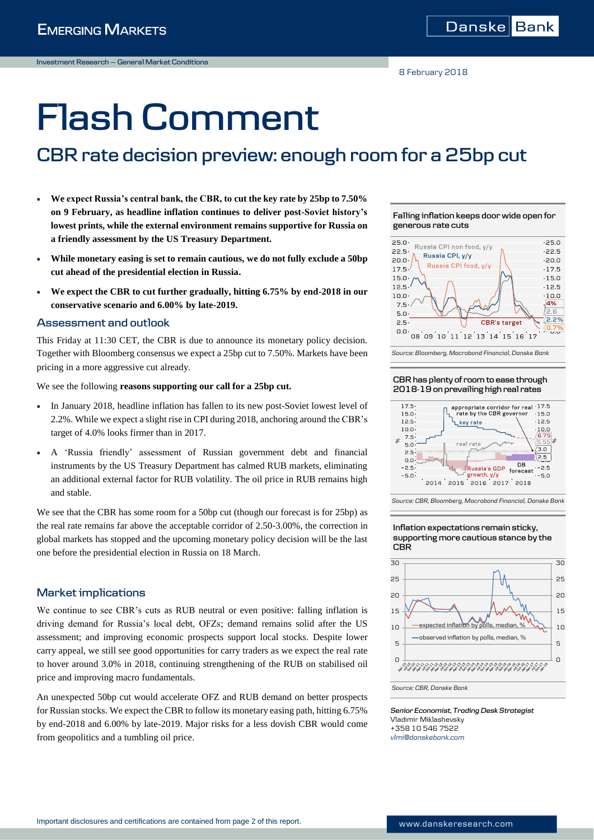# **Flash Comment**

# **CBR rate decision preview: enough room for a 25bp cut**

- **We expect Russia's central bank, the CBR, to cut the key rate by 25bp to 7.50% on 9 February, as headline inflation continues to deliver post-Soviet history's lowest prints, while the external environment remains supportive for Russia on a friendly assessment by the US Treasury Department.**
- **While monetary easing is set to remain cautious, we do not fully exclude a 50bp cut ahead of the presidential election in Russia.**
- **We expect the CBR to cut further gradually, hitting 6.75% by end-2018 in our conservative scenario and 6.00% by late-2019.**

# **Assessment and outlook**

This Friday at 11:30 CET, the CBR is due to announce its monetary policy decision. Together with Bloomberg consensus we expect a 25bp cut to 7.50%. Markets have been pricing in a more aggressive cut already.

We see the following **reasons supporting our call for a 25bp cut.**

- In January 2018, headline inflation has fallen to its new post-Soviet lowest level of 2.2%. While we expect a slight rise in CPI during 2018, anchoring around the CBR's target of 4.0% looks firmer than in 2017.
- A 'Russia friendly' assessment of Russian government debt and financial instruments by the US Treasury Department has calmed RUB markets, eliminating an additional external factor for RUB volatility. The oil price in RUB remains high and stable.

We see that the CBR has some room for a 50bp cut (though our forecast is for 25bp) as the real rate remains far above the acceptable corridor of 2.50-3.00%, the correction in global markets has stopped and the upcoming monetary policy decision will be the last one before the presidential election in Russia on 18 March.

# **Market implications**

We continue to see CBR's cuts as RUB neutral or even positive: falling inflation is driving demand for Russia's local debt, OFZs; demand remains solid after the US assessment; and improving economic prospects support local stocks. Despite lower carry appeal, we still see good opportunities for carry traders as we expect the real rate to hover around 3.0% in 2018, continuing strengthening of the RUB on stabilised oil price and improving macro fundamentals.

An unexpected 50bp cut would accelerate OFZ and RUB demand on better prospects for Russian stocks. We expect the CBR to follow its monetary easing path, hitting 6.75% by end-2018 and 6.00% by late-2019. Major risks for a less dovish CBR would come from geopolitics and a tumbling oil price.











*Source: CBR, Bloomberg, Macrobond Financial, Danske Bank*





*Senior Economist, Trading Desk Strategist* Vladimir Miklashevsky +358 10 546 7522 *vlmi@danskebank.com*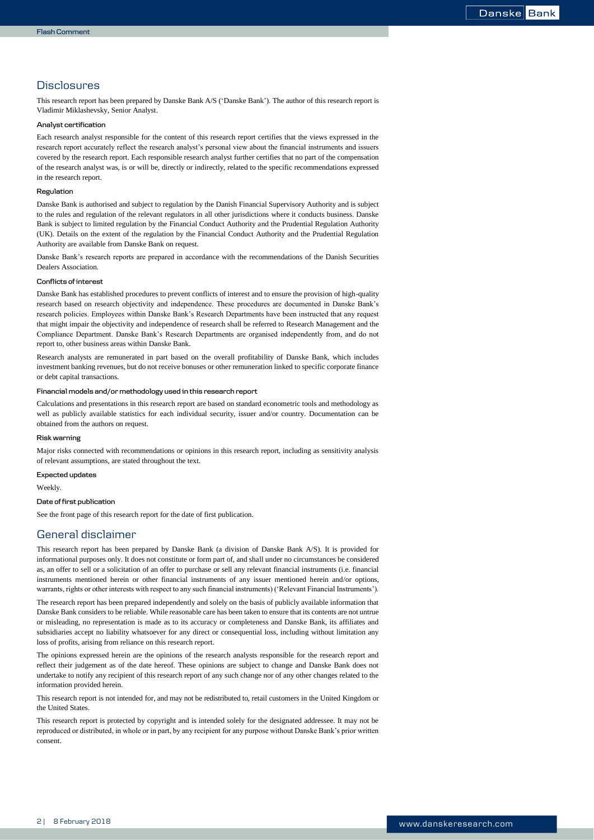## <span id="page-1-0"></span>**Disclosures**

This research report has been prepared by Danske Bank A/S ('Danske Bank'). The author of this research report is Vladimir Miklashevsky, Senior Analyst.

#### **Analyst certification**

Each research analyst responsible for the content of this research report certifies that the views expressed in the research report accurately reflect the research analyst's personal view about the financial instruments and issuers covered by the research report. Each responsible research analyst further certifies that no part of the compensation of the research analyst was, is or will be, directly or indirectly, related to the specific recommendations expressed in the research report.

#### **Regulation**

Danske Bank is authorised and subject to regulation by the Danish Financial Supervisory Authority and is subject to the rules and regulation of the relevant regulators in all other jurisdictions where it conducts business. Danske Bank is subject to limited regulation by the Financial Conduct Authority and the Prudential Regulation Authority (UK). Details on the extent of the regulation by the Financial Conduct Authority and the Prudential Regulation Authority are available from Danske Bank on request.

Danske Bank's research reports are prepared in accordance with the recommendations of the Danish Securities Dealers Association.

#### **Conflicts of interest**

Danske Bank has established procedures to prevent conflicts of interest and to ensure the provision of high-quality research based on research objectivity and independence. These procedures are documented in Danske Bank's research policies. Employees within Danske Bank's Research Departments have been instructed that any request that might impair the objectivity and independence of research shall be referred to Research Management and the Compliance Department. Danske Bank's Research Departments are organised independently from, and do not report to, other business areas within Danske Bank.

Research analysts are remunerated in part based on the overall profitability of Danske Bank, which includes investment banking revenues, but do not receive bonuses or other remuneration linked to specific corporate finance or debt capital transactions.

#### **Financial models and/or methodology used in this research report**

Calculations and presentations in this research report are based on standard econometric tools and methodology as well as publicly available statistics for each individual security, issuer and/or country. Documentation can be obtained from the authors on request.

#### **Risk warning**

Major risks connected with recommendations or opinions in this research report, including as sensitivity analysis of relevant assumptions, are stated throughout the text.

**Expected updates**

Weekly.

### **Date of first publication**

See the front page of this research report for the date of first publication.

# General disclaimer

This research report has been prepared by Danske Bank (a division of Danske Bank A/S). It is provided for informational purposes only. It does not constitute or form part of, and shall under no circumstances be considered as, an offer to sell or a solicitation of an offer to purchase or sell any relevant financial instruments (i.e. financial instruments mentioned herein or other financial instruments of any issuer mentioned herein and/or options, warrants, rights or other interests with respect to any such financial instruments) ('Relevant Financial Instruments').

The research report has been prepared independently and solely on the basis of publicly available information that Danske Bank considers to be reliable. While reasonable care has been taken to ensure that its contents are not untrue or misleading, no representation is made as to its accuracy or completeness and Danske Bank, its affiliates and subsidiaries accept no liability whatsoever for any direct or consequential loss, including without limitation any loss of profits, arising from reliance on this research report.

The opinions expressed herein are the opinions of the research analysts responsible for the research report and reflect their judgement as of the date hereof. These opinions are subject to change and Danske Bank does not undertake to notify any recipient of this research report of any such change nor of any other changes related to the information provided herein.

This research report is not intended for, and may not be redistributed to, retail customers in the United Kingdom or the United States.

This research report is protected by copyright and is intended solely for the designated addressee. It may not be reproduced or distributed, in whole or in part, by any recipient for any purpose without Danske Bank's prior written consent.